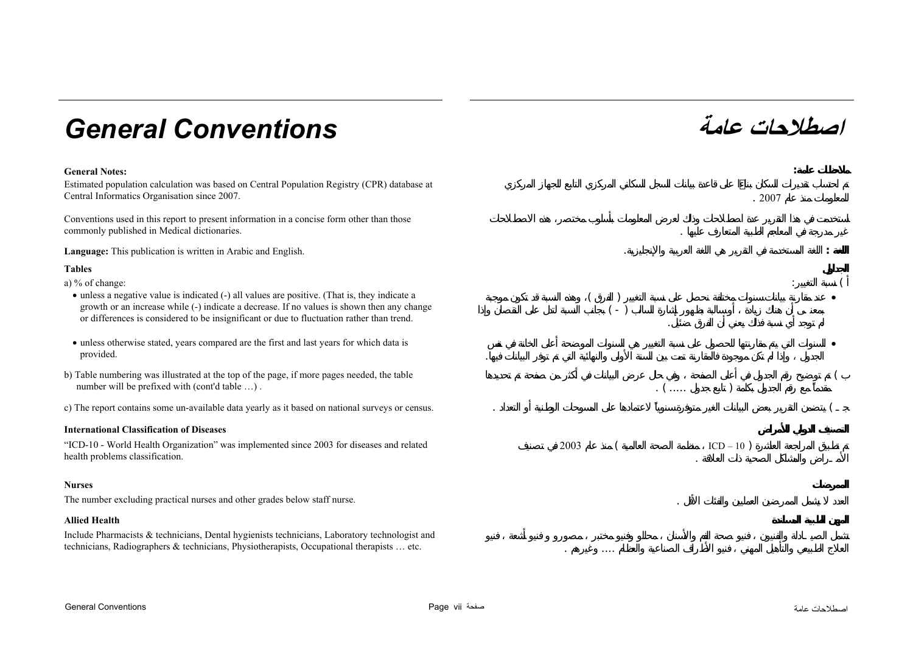# **عامة** *Conventions General*

Estimated population calculation was based on Central Population Registry (CPR) database at Central Informatics Organisation since 2007. . 2007

Conventions used in this report to present information in a concise form other than those commonly published in Medical dictionaries. .

**Language:** This publication is written in Arabic and English. . **:**

#### **Tables**

a) % of change:

- unless a negative value is indicated (-) all values are positive. (That is, they indicate a growth or an increase while (-) indicate a decrease. If no values is shown then any change or differences is considered to be insignificant or due to fluctuation rather than trend.
- unless otherwise stated, years compared are the first and last years for which data is provided.
- b) Table numbering was illustrated at the top of the page, if more pages needed, the table number will be prefixed with (cont'd table ...).
- c) The report contains some un-available data yearly as it based on national surveys or census.

#### **International Classification of Diseases**

"ICD-10 - World Health Organization" was implemented since 2003 for diseases and related health problems classification.

#### **Nurses**

The number excluding practical nurses and other grades below staff nurse. .

### **Allied Health**

Include Pharmacists & technicians, Dental hygienists technicians, Laboratory technologist and technicians, Radiographers & technicians, Physiotherapists, Occupational therapists … etc. . ....